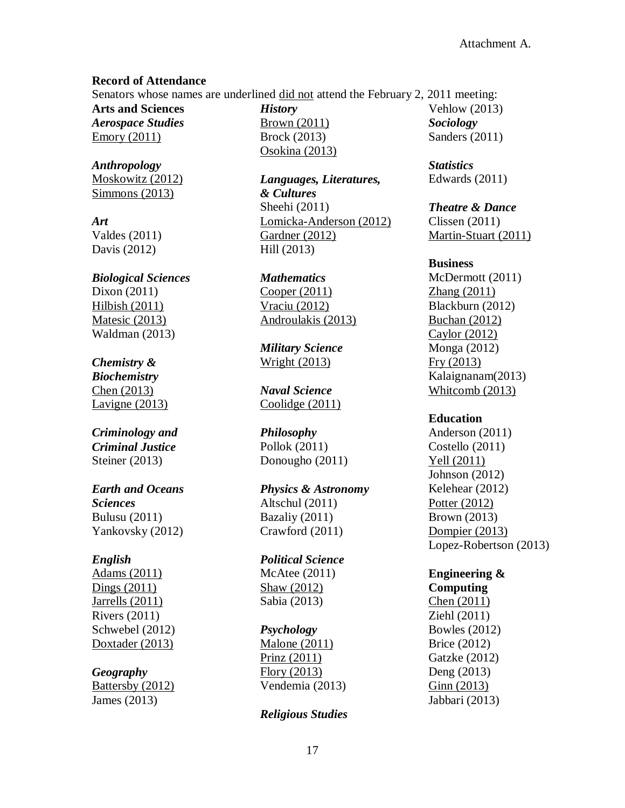#### **Record of Attendance**

Senators whose names are underlined did not attend the February 2, 2011 meeting:

**Arts and Sciences** *Aerospace Studies* Emory (2011)

*Anthropology* Moskowitz (2012) Simmons (2013)

*Art* Valdes (2011) Davis (2012)

*Biological Sciences* Dixon (2011) Hilbish (2011) Matesic (2013) Waldman (2013)

# *Chemistry &*

*Biochemistry* Chen (2013) Lavigne (2013)

### *Criminology and Criminal Justice* Steiner (2013)

### *Earth and Oceans Sciences* Bulusu (2011) Yankovsky (2012)

### *English*

Adams (2011) Dings (2011) Jarrells (2011) Rivers (2011) Schwebel (2012) Doxtader (2013)

### *Geography*

Battersby (2012) James (2013)

*History* Brown (2011) Brock (2013) Osokina (2013)

*Languages, Literatures, & Cultures* Sheehi (2011) Lomicka-Anderson (2012) Gardner (2012) Hill (2013)

*Mathematics* Cooper (2011) Vraciu (2012) Androulakis (2013)

*Military Science* Wright (2013)

*Naval Science* Coolidge (2011)

*Philosophy* Pollok (2011) Donougho (2011)

*Physics & Astronomy* Altschul (2011) Bazaliy (2011) Crawford (2011)

*Political Science* McAtee (2011) Shaw (2012) Sabia (2013)

### *Psychology*

Malone (2011) Prinz (2011) Flory (2013) Vendemia (2013)

### *Religious Studies*

Vehlow (2013) *Sociology* Sanders (2011)

*Statistics* Edwards (2011)

### *Theatre & Dance*

Clissen (2011) Martin-Stuart (2011)

### **Business**

McDermott (2011) Zhang (2011) Blackburn (2012) Buchan (2012) Caylor (2012) Monga (2012) Fry (2013) Kalaignanam(2013) Whitcomb (2013)

### **Education**

Anderson (2011) Costello (2011) Yell (2011) Johnson (2012) Kelehear (2012) Potter (2012) Brown (2013) Dompier (2013) Lopez-Robertson (2013)

**Engineering & Computing** Chen (2011) Ziehl (2011) Bowles (2012) Brice (2012) Gatzke (2012) Deng (2013) Ginn (2013) Jabbari (2013)